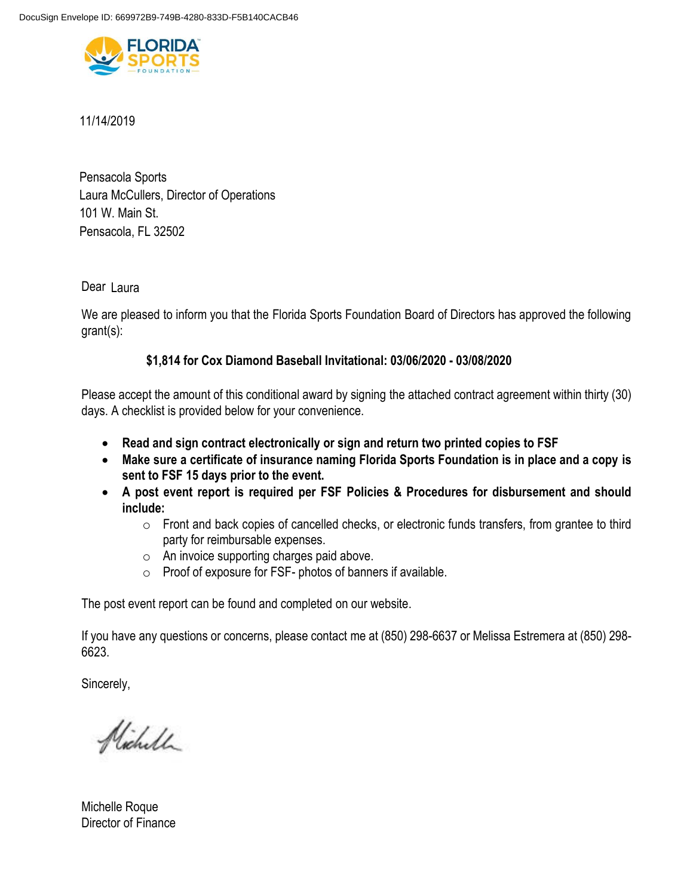

## 11/14/2019

Pensacola Sports Laura McCullers, Director of Operations 101 W. Main St. Pensacola, FL 32502

Dear Laura

We are pleased to inform you that the Florida Sports Foundation Board of Directors has approved the following grant(s):

## **\$1,814 for Cox Diamond Baseball Invitational: 03/06/2020 - 03/08/2020**

Please accept the amount of this conditional award by signing the attached contract agreement within thirty (30) days. A checklist is provided below for your convenience.

- **Read and sign contract electronically or sign and return two printed copies to FSF**
- **Make sure a certificate of insurance naming Florida Sports Foundation is in place and a copy is sent to FSF 15 days prior to the event.**
- **A post event report is required per FSF Policies & Procedures for disbursement and should include:** 
	- o Front and back copies of cancelled checks, or electronic funds transfers, from grantee to third party for reimbursable expenses.
	- o An invoice supporting charges paid above.
	- o Proof of exposure for FSF- photos of banners if available.

The post event report can be found and completed on our website.

If you have any questions or concerns, please contact me at (850) 298-6637 or Melissa Estremera at (850) 298- 6623.

Sincerely,

Nicholl

Michelle Roque Director of Finance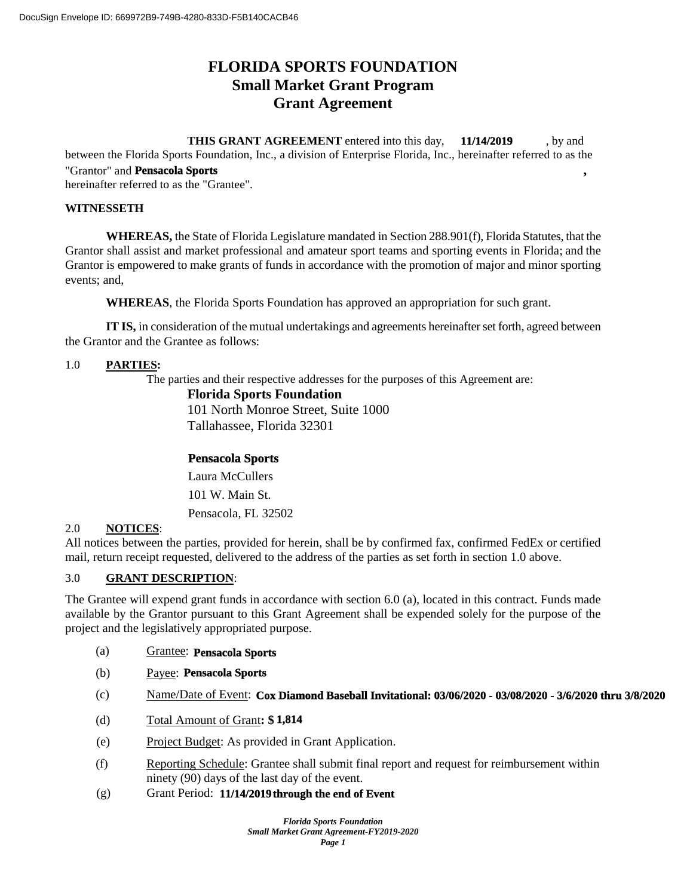# **FLORIDA SPORTS FOUNDATION Small Market Grant Program Grant Agreement**

#### **THIS GRANT AGREEMENT** entered into this day, **11/14/2019**, by and **11/14/2019**

between the Florida Sports Foundation, Inc., a division of Enterprise Florida, Inc., hereinafter referred to as the "Grantor" and **, Pensacola Sports**

hereinafter referred to as the "Grantee".

## **WITNESSETH**

**WHEREAS,** the State of Florida Legislature mandated in Section 288.901(f), Florida Statutes, that the Grantor shall assist and market professional and amateur sport teams and sporting events in Florida; and the Grantor is empowered to make grants of funds in accordance with the promotion of major and minor sporting events; and,

**WHEREAS**, the Florida Sports Foundation has approved an appropriation for such grant.

**IT IS,** in consideration of the mutual undertakings and agreements hereinafter set forth, agreed between the Grantor and the Grantee as follows:

#### 1.0 **PARTIES:**

The parties and their respective addresses for the purposes of this Agreement are:

#### **Florida Sports Foundation**

101 North Monroe Street, Suite 1000 Tallahassee, Florida 32301

## **Pensacola Sports**

101 W. Main St. Laura McCullers

Pensacola, FL 32502

## 2.0 **NOTICES**:

All notices between the parties, provided for herein, shall be by confirmed fax, confirmed FedEx or certified mail, return receipt requested, delivered to the address of the parties as set forth in section 1.0 above.

## 3.0 **GRANT DESCRIPTION**:

The Grantee will expend grant funds in accordance with section 6.0 (a), located in this contract. Funds made available by the Grantor pursuant to this Grant Agreement shall be expended solely for the purpose of the project and the legislatively appropriated purpose.

- (a) Grantee: **Pensacola Sports**
- (b) Payee: **Pensacola Sports**
- (c) Name/Date of Event: **Cox Diamond Baseball Invitational: 03/06/2020 03/08/2020 3/6/2020 thru 3/8/2020**
- (d) Total Amount of Grant**: \$ 1,814**
- (e) Project Budget: As provided in Grant Application.
- (f) Reporting Schedule: Grantee shall submit final report and request for reimbursement within ninety (90) days of the last day of the event.
- (g) Grant Period: **11/14/2019 through the end of Event**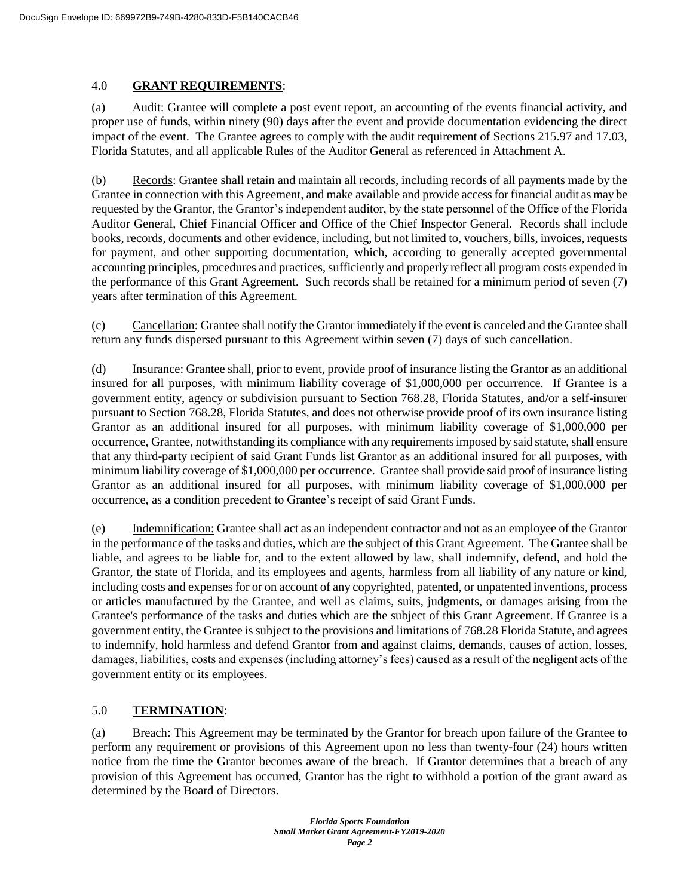#### 4.0 **GRANT REQUIREMENTS**:

(a) Audit: Grantee will complete a post event report, an accounting of the events financial activity, and proper use of funds, within ninety (90) days after the event and provide documentation evidencing the direct impact of the event. The Grantee agrees to comply with the audit requirement of Sections 215.97 and 17.03, Florida Statutes, and all applicable Rules of the Auditor General as referenced in Attachment A.

(b) Records: Grantee shall retain and maintain all records, including records of all payments made by the Grantee in connection with this Agreement, and make available and provide access for financial audit as may be requested by the Grantor, the Grantor's independent auditor, by the state personnel of the Office of the Florida Auditor General, Chief Financial Officer and Office of the Chief Inspector General. Records shall include books, records, documents and other evidence, including, but not limited to, vouchers, bills, invoices, requests for payment, and other supporting documentation, which, according to generally accepted governmental accounting principles, procedures and practices, sufficiently and properly reflect all program costs expended in the performance of this Grant Agreement. Such records shall be retained for a minimum period of seven (7) years after termination of this Agreement.

(c) Cancellation: Grantee shall notify the Grantor immediately if the event is canceled and the Grantee shall return any funds dispersed pursuant to this Agreement within seven (7) days of such cancellation.

(d) Insurance: Grantee shall, prior to event, provide proof of insurance listing the Grantor as an additional insured for all purposes, with minimum liability coverage of \$1,000,000 per occurrence. If Grantee is a government entity, agency or subdivision pursuant to Section 768.28, Florida Statutes, and/or a self-insurer pursuant to Section 768.28, Florida Statutes, and does not otherwise provide proof of its own insurance listing Grantor as an additional insured for all purposes, with minimum liability coverage of \$1,000,000 per occurrence, Grantee, notwithstanding its compliance with any requirements imposed by said statute, shall ensure that any third-party recipient of said Grant Funds list Grantor as an additional insured for all purposes, with minimum liability coverage of \$1,000,000 per occurrence. Grantee shall provide said proof of insurance listing Grantor as an additional insured for all purposes, with minimum liability coverage of \$1,000,000 per occurrence, as a condition precedent to Grantee's receipt of said Grant Funds.

(e) Indemnification: Grantee shall act as an independent contractor and not as an employee of the Grantor in the performance of the tasks and duties, which are the subject of this Grant Agreement. The Grantee shall be liable, and agrees to be liable for, and to the extent allowed by law, shall indemnify, defend, and hold the Grantor, the state of Florida, and its employees and agents, harmless from all liability of any nature or kind, including costs and expenses for or on account of any copyrighted, patented, or unpatented inventions, process or articles manufactured by the Grantee, and well as claims, suits, judgments, or damages arising from the Grantee's performance of the tasks and duties which are the subject of this Grant Agreement. If Grantee is a government entity, the Grantee is subject to the provisions and limitations of 768.28 Florida Statute, and agrees to indemnify, hold harmless and defend Grantor from and against claims, demands, causes of action, losses, damages, liabilities, costs and expenses (including attorney's fees) caused as a result of the negligent acts of the government entity or its employees.

## 5.0 **TERMINATION**:

(a) Breach: This Agreement may be terminated by the Grantor for breach upon failure of the Grantee to perform any requirement or provisions of this Agreement upon no less than twenty-four (24) hours written notice from the time the Grantor becomes aware of the breach. If Grantor determines that a breach of any provision of this Agreement has occurred, Grantor has the right to withhold a portion of the grant award as determined by the Board of Directors.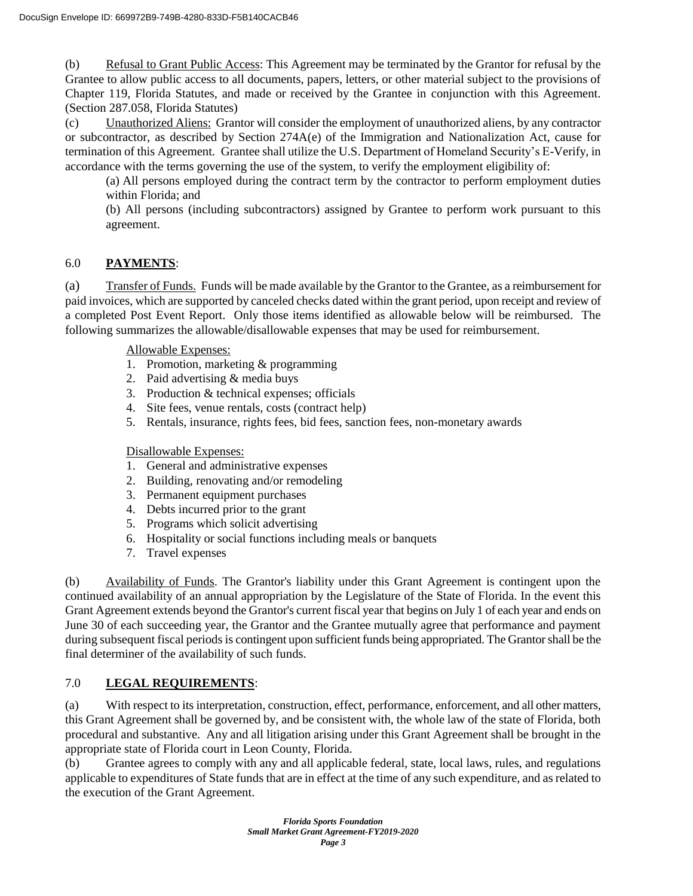(b) Refusal to Grant Public Access: This Agreement may be terminated by the Grantor for refusal by the Grantee to allow public access to all documents, papers, letters, or other material subject to the provisions of Chapter 119, Florida Statutes, and made or received by the Grantee in conjunction with this Agreement. (Section 287.058, Florida Statutes)

(c) Unauthorized Aliens: Grantor will consider the employment of unauthorized aliens, by any contractor or subcontractor, as described by Section 274A(e) of the Immigration and Nationalization Act, cause for termination of this Agreement. Grantee shall utilize the U.S. Department of Homeland Security's E-Verify, in accordance with the terms governing the use of the system, to verify the employment eligibility of:

(a) All persons employed during the contract term by the contractor to perform employment duties within Florida; and

(b) All persons (including subcontractors) assigned by Grantee to perform work pursuant to this agreement.

## 6.0 **PAYMENTS**:

(a) Transfer of Funds. Funds will be made available by the Grantor to the Grantee, as a reimbursement for paid invoices, which are supported by canceled checks dated within the grant period, upon receipt and review of a completed Post Event Report. Only those items identified as allowable below will be reimbursed. The following summarizes the allowable/disallowable expenses that may be used for reimbursement.

Allowable Expenses:

- 1. Promotion, marketing & programming
- 2. Paid advertising & media buys
- 3. Production & technical expenses; officials
- 4. Site fees, venue rentals, costs (contract help)
- 5. Rentals, insurance, rights fees, bid fees, sanction fees, non-monetary awards

Disallowable Expenses:

- 1. General and administrative expenses
- 2. Building, renovating and/or remodeling
- 3. Permanent equipment purchases
- 4. Debts incurred prior to the grant
- 5. Programs which solicit advertising
- 6. Hospitality or social functions including meals or banquets
- 7. Travel expenses

(b) Availability of Funds. The Grantor's liability under this Grant Agreement is contingent upon the continued availability of an annual appropriation by the Legislature of the State of Florida. In the event this Grant Agreement extends beyond the Grantor's current fiscal year that begins on July 1 of each year and ends on June 30 of each succeeding year, the Grantor and the Grantee mutually agree that performance and payment during subsequent fiscal periods is contingent upon sufficient funds being appropriated. The Grantor shall be the final determiner of the availability of such funds.

## 7.0 **LEGAL REQUIREMENTS**:

(a) With respect to its interpretation, construction, effect, performance, enforcement, and all other matters, this Grant Agreement shall be governed by, and be consistent with, the whole law of the state of Florida, both procedural and substantive. Any and all litigation arising under this Grant Agreement shall be brought in the appropriate state of Florida court in Leon County, Florida.

(b) Grantee agrees to comply with any and all applicable federal, state, local laws, rules, and regulations applicable to expenditures of State funds that are in effect at the time of any such expenditure, and as related to the execution of the Grant Agreement.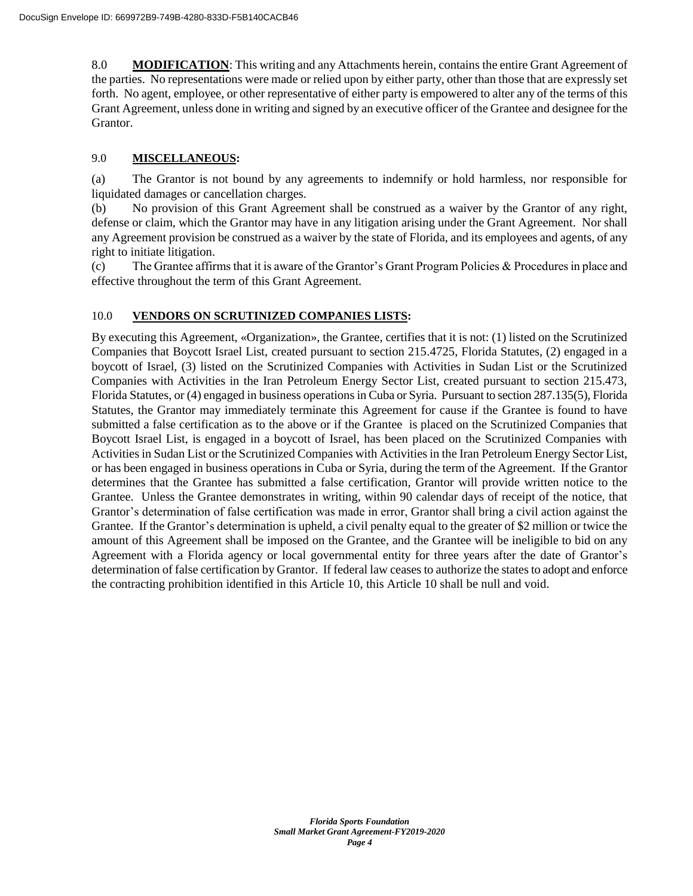8.0 **MODIFICATION**: This writing and any Attachments herein, contains the entire Grant Agreement of the parties. No representations were made or relied upon by either party, other than those that are expressly set forth. No agent, employee, or other representative of either party is empowered to alter any of the terms of this Grant Agreement, unless done in writing and signed by an executive officer of the Grantee and designee for the Grantor.

## 9.0 **MISCELLANEOUS:**

(a) The Grantor is not bound by any agreements to indemnify or hold harmless, nor responsible for liquidated damages or cancellation charges.

(b) No provision of this Grant Agreement shall be construed as a waiver by the Grantor of any right, defense or claim, which the Grantor may have in any litigation arising under the Grant Agreement. Nor shall any Agreement provision be construed as a waiver by the state of Florida, and its employees and agents, of any right to initiate litigation.

(c) The Grantee affirms that it is aware of the Grantor's Grant Program Policies & Procedures in place and effective throughout the term of this Grant Agreement.

#### 10.0 **VENDORS ON SCRUTINIZED COMPANIES LISTS:**

By executing this Agreement, «Organization», the Grantee, certifies that it is not: (1) listed on the Scrutinized Companies that Boycott Israel List, created pursuant to section 215.4725, Florida Statutes, (2) engaged in a boycott of Israel, (3) listed on the Scrutinized Companies with Activities in Sudan List or the Scrutinized Companies with Activities in the Iran Petroleum Energy Sector List, created pursuant to section 215.473, Florida Statutes, or (4) engaged in business operations in Cuba or Syria. Pursuant to section 287.135(5), Florida Statutes, the Grantor may immediately terminate this Agreement for cause if the Grantee is found to have submitted a false certification as to the above or if the Grantee is placed on the Scrutinized Companies that Boycott Israel List, is engaged in a boycott of Israel, has been placed on the Scrutinized Companies with Activities in Sudan List or the Scrutinized Companies with Activities in the Iran Petroleum Energy Sector List, or has been engaged in business operations in Cuba or Syria, during the term of the Agreement. If the Grantor determines that the Grantee has submitted a false certification, Grantor will provide written notice to the Grantee. Unless the Grantee demonstrates in writing, within 90 calendar days of receipt of the notice, that Grantor's determination of false certification was made in error, Grantor shall bring a civil action against the Grantee. If the Grantor's determination is upheld, a civil penalty equal to the greater of \$2 million or twice the amount of this Agreement shall be imposed on the Grantee, and the Grantee will be ineligible to bid on any Agreement with a Florida agency or local governmental entity for three years after the date of Grantor's determination of false certification by Grantor. If federal law ceases to authorize the states to adopt and enforce the contracting prohibition identified in this Article 10, this Article 10 shall be null and void.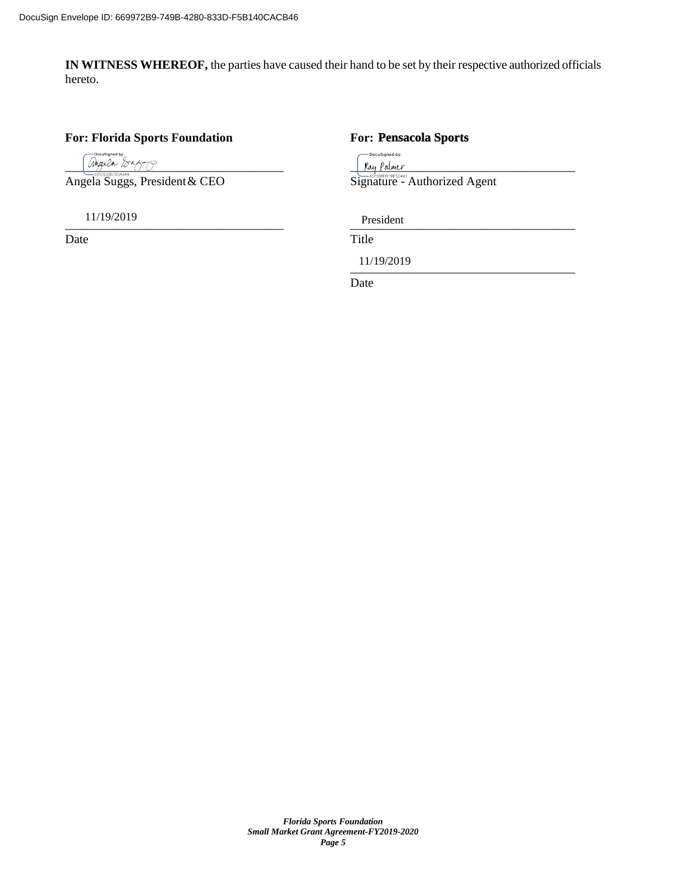**IN WITNESS WHEREOF,** the parties have caused their hand to be set by their respective authorized officials hereto.

### **For: Florida Sports Foundation For:**

 $\frac{1}{2}$   $\frac{1}{2}$   $\frac{1}{2}$   $\frac{1}{2}$   $\frac{1}{2}$   $\frac{1}{2}$   $\frac{1}{2}$   $\frac{1}{2}$   $\frac{1}{2}$   $\frac{1}{2}$   $\frac{1}{2}$   $\frac{1}{2}$   $\frac{1}{2}$   $\frac{1}{2}$   $\frac{1}{2}$   $\frac{1}{2}$   $\frac{1}{2}$   $\frac{1}{2}$   $\frac{1}{2}$   $\frac{1}{2}$   $\frac{1}{2}$   $\frac{1}{2}$ 

11/19/2019

Date Title

#### **Pensacola Sports**

-<br>DocuSigned by:

Angela Suggs, President & CEO Signature - Authorized Agent

 $\text{TPf}\xspace$   $\text{TPf}\xspace$   $\text{TPf}\xspace$   $\text{TPf}\xspace$   $\text{TPf}\xspace$   $\text{TPf}\xspace$   $\text{TPf}\xspace$   $\text{TPf}\xspace$   $\text{TPf}\xspace$   $\text{TPf}\xspace$   $\text{TPf}\xspace$   $\text{TPf}\xspace$   $\text{TPf}\xspace$   $\text{TPf}\xspace$   $\text{TPf}\xspace$   $\text{TPf}\xspace$   $\text{TPf}\xspace$   $\text{TPf}\xspace$   $\text{TPf}\xspace$   $\text{TPf}\xspace$  President

 $\frac{11}{1222019}$ 11/19/2019

Date